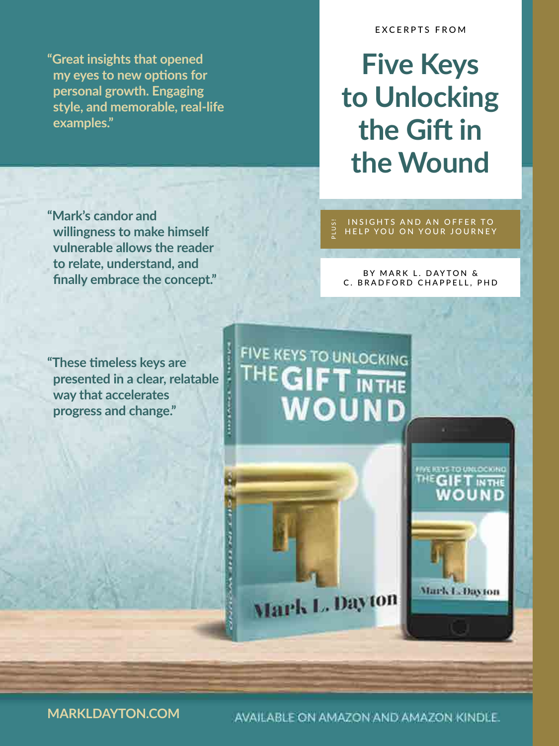**"Great insights that opened**  my eyes to new options for **personal growth. Engaging style, and memorable, real-life examples."**

#### EXCERPTS FROM

## **Five Keys to Unlocking the Gift in the Wound**

**"Mark's candor and willingness to make himself vulnerable allows the reader to relate, understand, and fnally embrace the concept."**

**"These tmeless keys are presented in a clear, relatable way that accelerates progress and change."**

INSIGHTS AND AN OFFER TO HELP YOU ON YOUR JOURNEY PLUS!

#### BY MARK L. DAYTON & C. BRADFORD CHAPPELL, PHD



AVAILABLE ON AMAZON AND AMAZON KINDLE.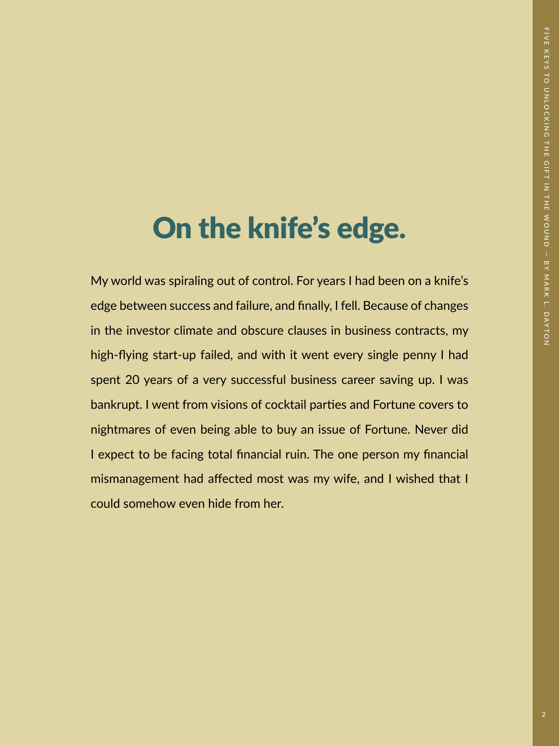## On the knife's edge.

My world was spiraling out of control. For years I had been on a knife's edge between success and failure, and fnally, I fell. Because of changes in the investor climate and obscure clauses in business contracts, my high-flying start-up failed, and with it went every single penny I had spent 20 years of a very successful business career saving up. I was bankrupt. I went from visions of cocktail parties and Fortune covers to nightmares of even being able to buy an issue of Fortune. Never did I expect to be facing total fnancial ruin. The one person my fnancial mismanagement had afected most was my wife, and I wished that I could somehow even hide from her.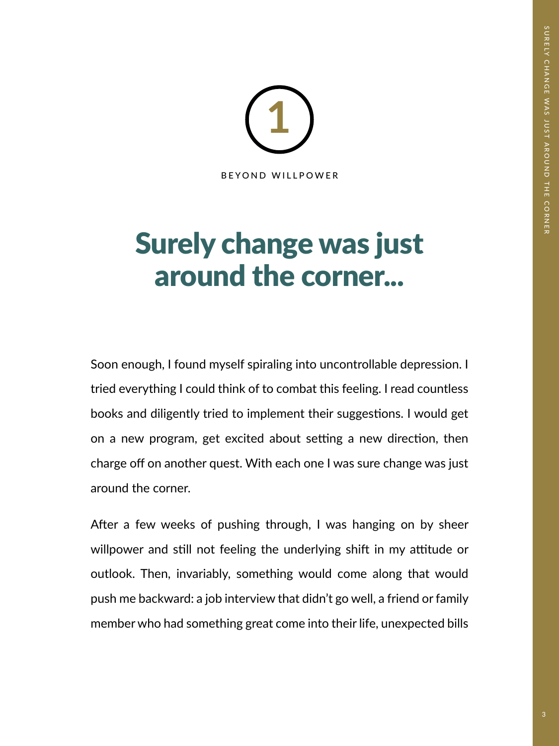BEYOND WILLPOWER **1**

## Surely change was just around the corner...

Soon enough, I found myself spiraling into uncontrollable depression. I tried everything I could think of to combat this feeling. I read countless books and diligently tried to implement their suggestions. I would get on a new program, get excited about setting a new direction, then charge off on another quest. With each one I was sure change was just around the corner.

After a few weeks of pushing through, I was hanging on by sheer willpower and still not feeling the underlying shift in my attitude or outlook. Then, invariably, something would come along that would push me backward: a job interview that didn't go well, a friend or family member who had something great come into their life, unexpected bills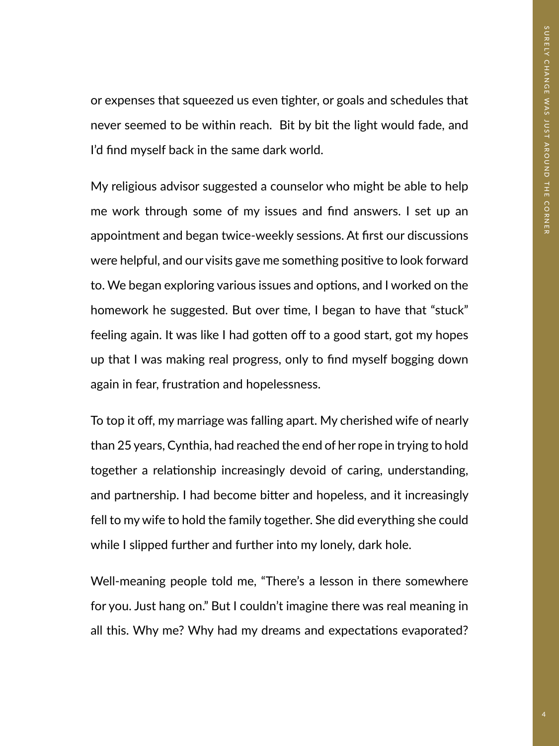or expenses that squeezed us even tighter, or goals and schedules that never seemed to be within reach. Bit by bit the light would fade, and I'd fnd myself back in the same dark world.

My religious advisor suggested a counselor who might be able to help me work through some of my issues and fnd answers. I set up an appointment and began twice-weekly sessions. At frst our discussions were helpful, and our visits gave me something positive to look forward to. We began exploring various issues and options, and I worked on the homework he suggested. But over time, I began to have that "stuck" feeling again. It was like I had gotten off to a good start, got my hopes up that I was making real progress, only to fnd myself bogging down again in fear, frustration and hopelessness.

To top it off, my marriage was falling apart. My cherished wife of nearly than 25 years, Cynthia, had reached the end of her rope in trying to hold together a relationship increasingly devoid of caring, understanding, and partnership. I had become bitter and hopeless, and it increasingly fell to my wife to hold the family together. She did everything she could while I slipped further and further into my lonely, dark hole.

Well-meaning people told me, "There's a lesson in there somewhere for you. Just hang on." But I couldn't imagine there was real meaning in all this. Why me? Why had my dreams and expectations evaporated?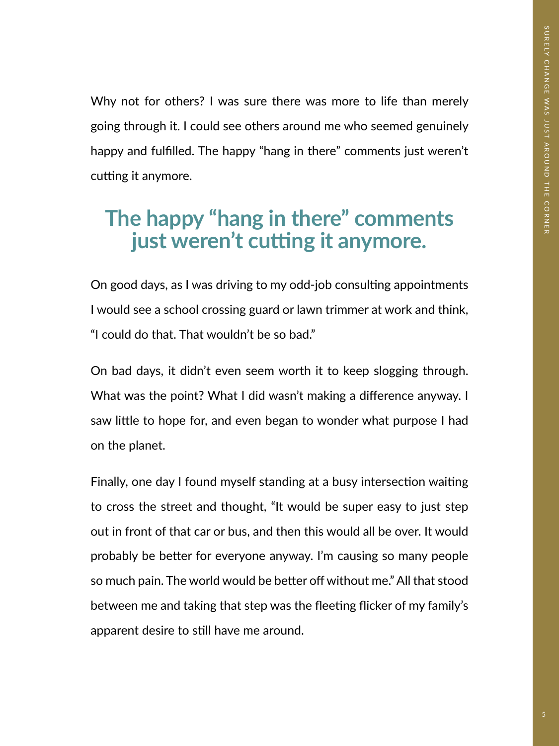Why not for others? I was sure there was more to life than merely going through it. I could see others around me who seemed genuinely happy and fulflled. The happy "hang in there" comments just weren't cutting it anymore.

### **The happy "hang in there" comments**  just weren't cutting it anymore.

On good days, as I was driving to my odd-job consulting appointments I would see a school crossing guard or lawn trimmer at work and think, "I could do that. That wouldn't be so bad."

On bad days, it didn't even seem worth it to keep slogging through. What was the point? What I did wasn't making a diference anyway. I saw litle to hope for, and even began to wonder what purpose I had on the planet.

Finally, one day I found myself standing at a busy intersection waiting to cross the street and thought, "It would be super easy to just step out in front of that car or bus, and then this would all be over. It would probably be better for everyone anyway. I'm causing so many people so much pain. The world would be better off without me." All that stood between me and taking that step was the fleeting flicker of my family's apparent desire to still have me around.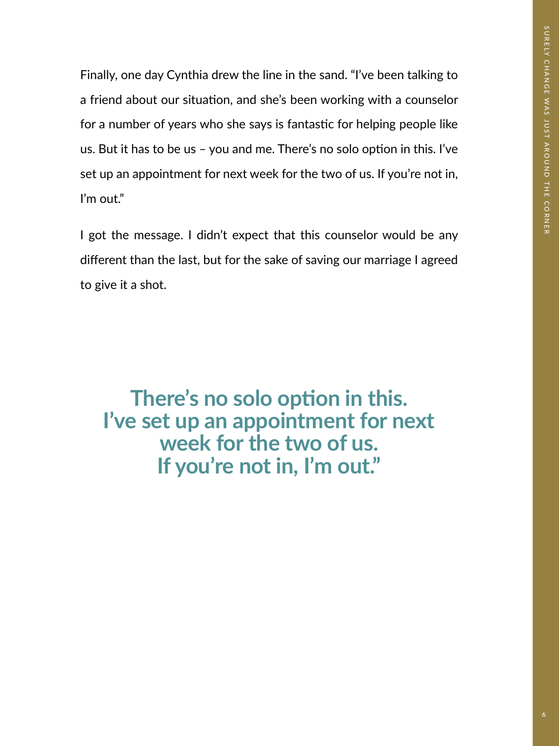Finally, one day Cynthia drew the line in the sand. "I've been talking to a friend about our situation, and she's been working with a counselor for a number of years who she says is fantastic for helping people like us. But it has to be us  $-$  you and me. There's no solo option in this. I've set up an appointment for next week for the two of us. If you're not in, I'm out."

I got the message. I didn't expect that this counselor would be any diferent than the last, but for the sake of saving our marriage I agreed to give it a shot.

There's no solo option in this. **I've set up an appointment for next week for the two of us. If you're not in, I'm out."**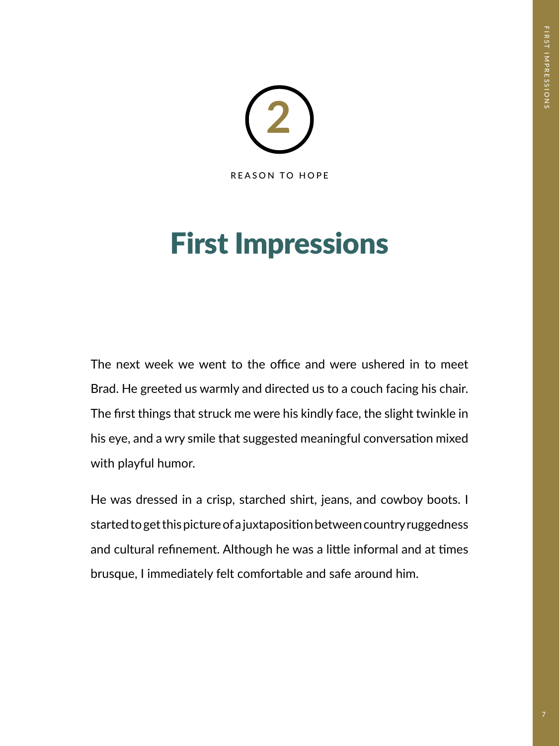

## First Impressions

The next week we went to the office and were ushered in to meet Brad. He greeted us warmly and directed us to a couch facing his chair. The frst things that struck me were his kindly face, the slight twinkle in his eye, and a wry smile that suggested meaningful conversation mixed with playful humor.

He was dressed in a crisp, starched shirt, jeans, and cowboy boots. I started to get this picture of a juxtapositon between country ruggedness and cultural refinement. Although he was a little informal and at times brusque, I immediately felt comfortable and safe around him.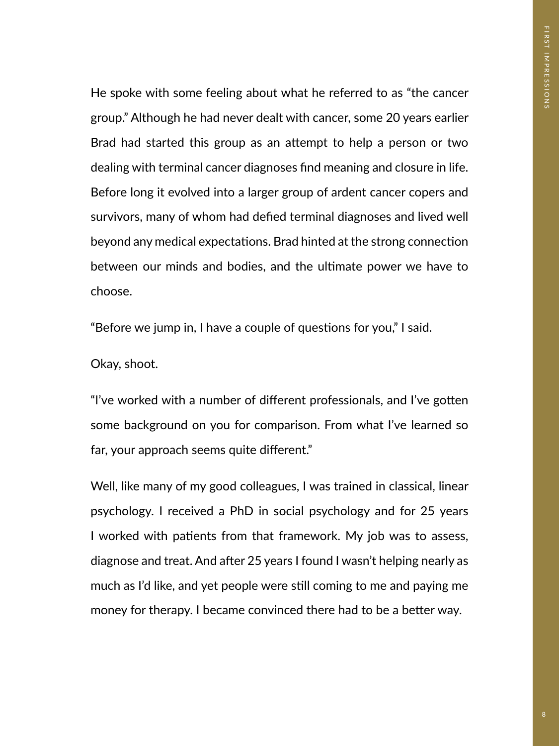He spoke with some feeling about what he referred to as "the cancer group." Although he had never dealt with cancer, some 20 years earlier Brad had started this group as an atempt to help a person or two dealing with terminal cancer diagnoses fnd meaning and closure in life. Before long it evolved into a larger group of ardent cancer copers and survivors, many of whom had defed terminal diagnoses and lived well beyond any medical expectations. Brad hinted at the strong connection between our minds and bodies, and the ultmate power we have to choose.

"Before we jump in, I have a couple of questons for you," I said.

Okay, shoot.

"I've worked with a number of different professionals, and I've gotten some background on you for comparison. From what I've learned so far, your approach seems quite diferent."

Well, like many of my good colleagues, I was trained in classical, linear psychology. I received a PhD in social psychology and for 25 years I worked with patients from that framework. My job was to assess, diagnose and treat. And after 25 years I found I wasn't helping nearly as much as I'd like, and yet people were stll coming to me and paying me money for therapy. I became convinced there had to be a better way.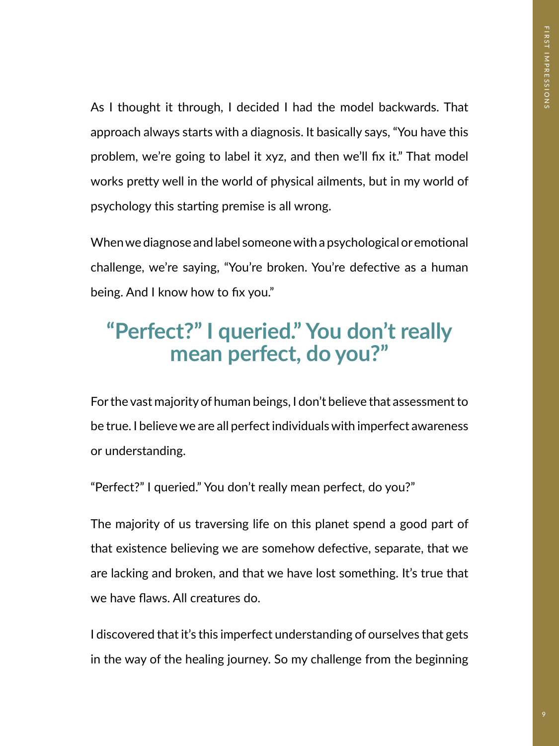As I thought it through, I decided I had the model backwards. That approach always starts with a diagnosis. It basically says, "You have this problem, we're going to label it xyz, and then we'll fix it." That model works prety well in the world of physical ailments, but in my world of psychology this starting premise is all wrong.

When we diagnose and label someone with a psychological or emotional challenge, we're saying, "You're broken. You're defective as a human being. And I know how to fix you."

### **"Perfect?" I queried." You don't really mean perfect, do you?"**

For the vast majority of human beings, I don't believe that assessment to be true. I believe we are all perfect individuals with imperfect awareness or understanding.

"Perfect?" I queried." You don't really mean perfect, do you?"

The majority of us traversing life on this planet spend a good part of that existence believing we are somehow defective, separate, that we are lacking and broken, and that we have lost something. It's true that we have faws. All creatures do.

I discovered that it's this imperfect understanding of ourselves that gets in the way of the healing journey. So my challenge from the beginning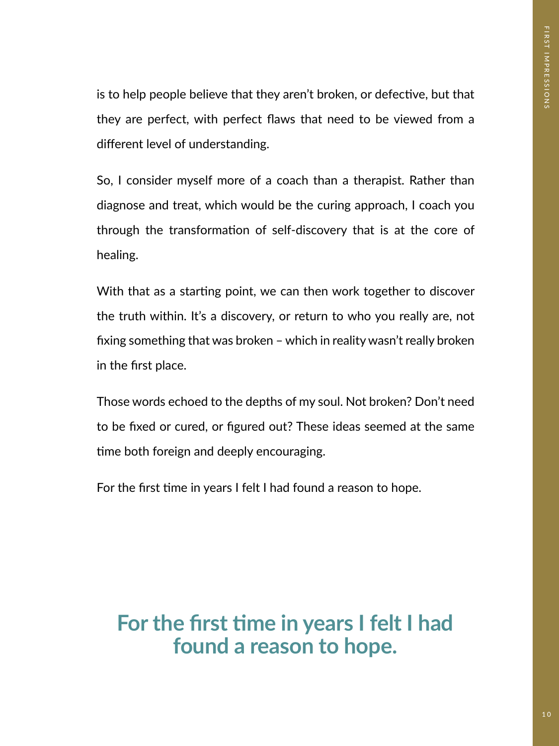is to help people believe that they aren't broken, or defective, but that they are perfect, with perfect faws that need to be viewed from a diferent level of understanding.

So, I consider myself more of a coach than a therapist. Rather than diagnose and treat, which would be the curing approach, I coach you through the transformation of self-discovery that is at the core of healing.

With that as a starting point, we can then work together to discover the truth within. It's a discovery, or return to who you really are, not fxing something that was broken – which in reality wasn't really broken in the frst place.

Those words echoed to the depths of my soul. Not broken? Don't need to be fxed or cured, or fgured out? These ideas seemed at the same time both foreign and deeply encouraging.

For the first time in years I felt I had found a reason to hope.

For the first time in years I felt I had **found a reason to hope.**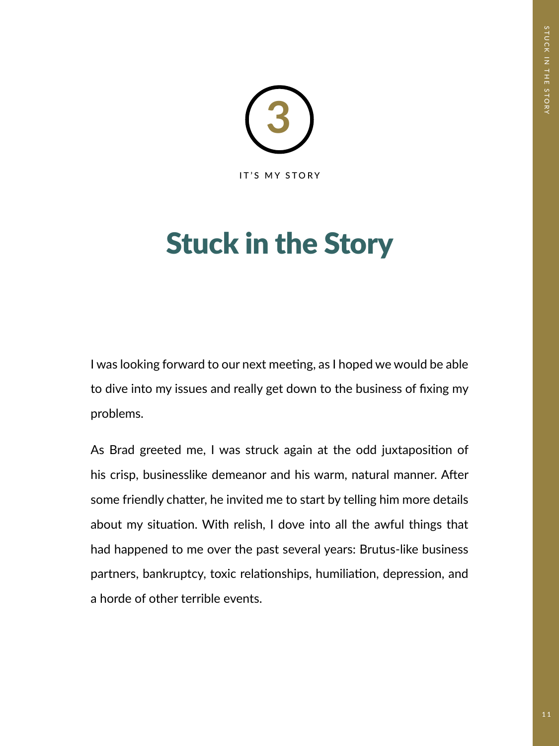

# Stuck in the Story

I was looking forward to our next meeting, as I hoped we would be able to dive into my issues and really get down to the business of fxing my problems.

As Brad greeted me, I was struck again at the odd juxtapositon of his crisp, businesslike demeanor and his warm, natural manner. After some friendly chatter, he invited me to start by telling him more details about my situation. With relish, I dove into all the awful things that had happened to me over the past several years: Brutus-like business partners, bankruptcy, toxic relationships, humiliation, depression, and a horde of other terrible events.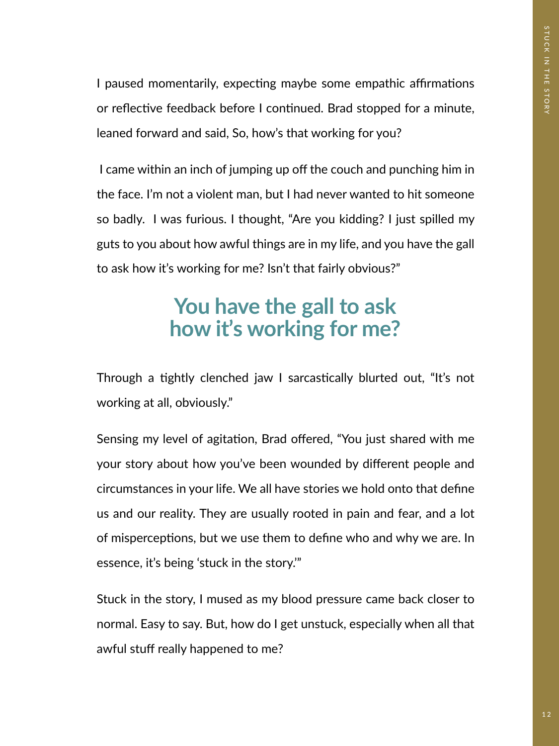I paused momentarily, expecting maybe some empathic affirmations or reflective feedback before I continued. Brad stopped for a minute, leaned forward and said, So, how's that working for you?

I came within an inch of jumping up off the couch and punching him in the face. I'm not a violent man, but I had never wanted to hit someone so badly. I was furious. I thought, "Are you kidding? I just spilled my guts to you about how awful things are in my life, and you have the gall to ask how it's working for me? Isn't that fairly obvious?"

### **You have the gall to ask how it's working for me?**

Through a tightly clenched jaw I sarcastically blurted out, "It's not working at all, obviously."

Sensing my level of agitation, Brad offered, "You just shared with me your story about how you've been wounded by diferent people and circumstances in your life. We all have stories we hold onto that defne us and our reality. They are usually rooted in pain and fear, and a lot of misperceptions, but we use them to define who and why we are. In essence, it's being 'stuck in the story.'"

Stuck in the story, I mused as my blood pressure came back closer to normal. Easy to say. But, how do I get unstuck, especially when all that awful stuff really happened to me?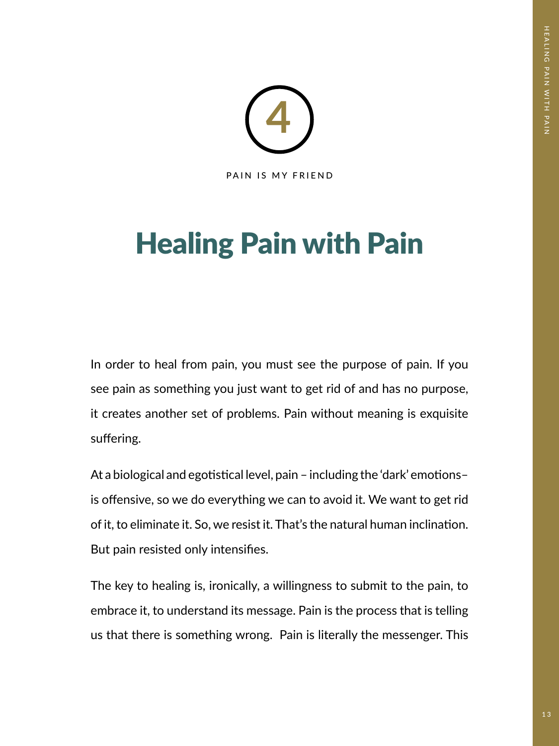

# Healing Pain with Pain

In order to heal from pain, you must see the purpose of pain. If you see pain as something you just want to get rid of and has no purpose, it creates another set of problems. Pain without meaning is exquisite suffering.

At a biological and egotistical level, pain - including the 'dark' emotionsis offensive, so we do everything we can to avoid it. We want to get rid of it, to eliminate it. So, we resist it. That's the natural human inclinaton. But pain resisted only intensifes.

The key to healing is, ironically, a willingness to submit to the pain, to embrace it, to understand its message. Pain is the process that is telling us that there is something wrong. Pain is literally the messenger. This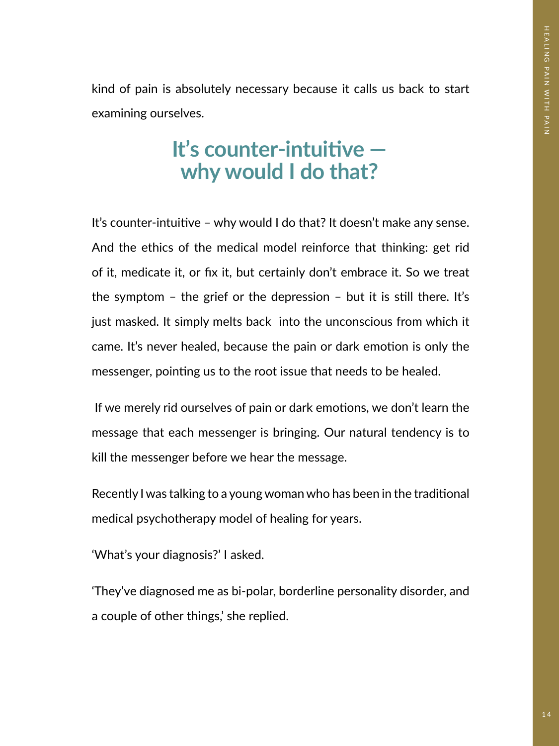kind of pain is absolutely necessary because it calls us back to start examining ourselves.

### It's counter-intuitive **why would I do that?**

It's counter-intuitve – why would I do that? It doesn't make any sense. And the ethics of the medical model reinforce that thinking: get rid of it, medicate it, or fx it, but certainly don't embrace it. So we treat the symptom  $-$  the grief or the depression  $-$  but it is still there. It's just masked. It simply melts back into the unconscious from which it came. It's never healed, because the pain or dark emotion is only the messenger, pointing us to the root issue that needs to be healed.

If we merely rid ourselves of pain or dark emotions, we don't learn the message that each messenger is bringing. Our natural tendency is to kill the messenger before we hear the message.

Recently I was talking to a young woman who has been in the traditonal medical psychotherapy model of healing for years.

'What's your diagnosis?' I asked.

'They've diagnosed me as bi-polar, borderline personality disorder, and a couple of other things,' she replied.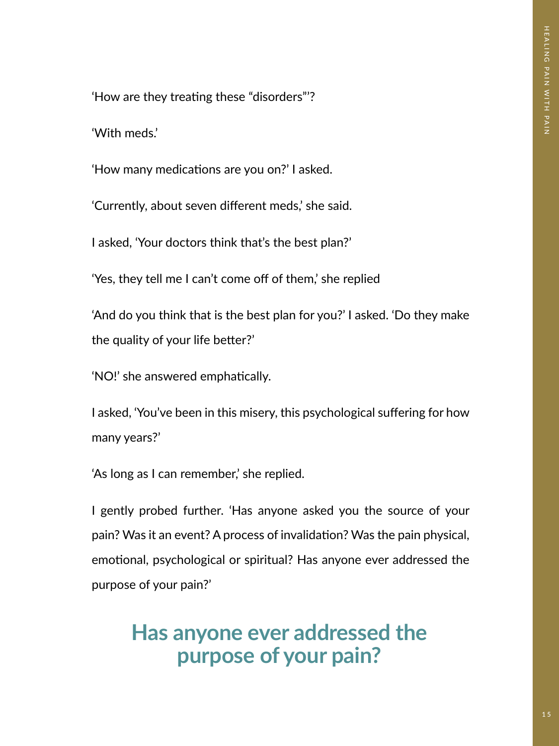'How are they treating these "disorders"?

'With meds.'

'How many medications are you on?' I asked.

'Currently, about seven diferent meds,' she said.

I asked, 'Your doctors think that's the best plan?'

'Yes, they tell me I can't come off of them,' she replied

'And do you think that is the best plan for you?' I asked. 'Do they make the quality of your life better?'

'NO!' she answered emphatically.

I asked, 'You've been in this misery, this psychological sufering for how many years?'

'As long as I can remember,' she replied.

I gently probed further. 'Has anyone asked you the source of your pain? Was it an event? A process of invalidation? Was the pain physical, emotional, psychological or spiritual? Has anyone ever addressed the purpose of your pain?'

### **Has anyone ever addressed the purpose of your pain?**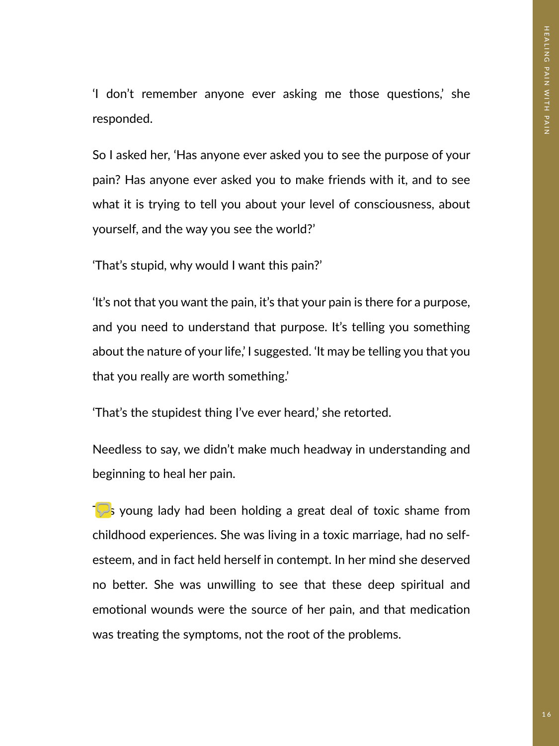'I don't remember anyone ever asking me those questons,' she responded.

So I asked her, 'Has anyone ever asked you to see the purpose of your pain? Has anyone ever asked you to make friends with it, and to see what it is trying to tell you about your level of consciousness, about yourself, and the way you see the world?'

'That's stupid, why would I want this pain?'

'It's not that you want the pain, it's that your pain is there for a purpose, and you need to understand that purpose. It's telling you something about the nature of your life,' I suggested. 'It may be telling you that you that you really are worth something.'

'That's the stupidest thing I've ever heard,' she retorted.

Needless to say, we didn't make much headway in understanding and beginning to heal her pain.

This young lady had been holding a great deal of toxic shame from childhood experiences. She was living in a toxic marriage, had no selfesteem, and in fact held herself in contempt. In her mind she deserved no better. She was unwilling to see that these deep spiritual and emotional wounds were the source of her pain, and that medication was treating the symptoms, not the root of the problems.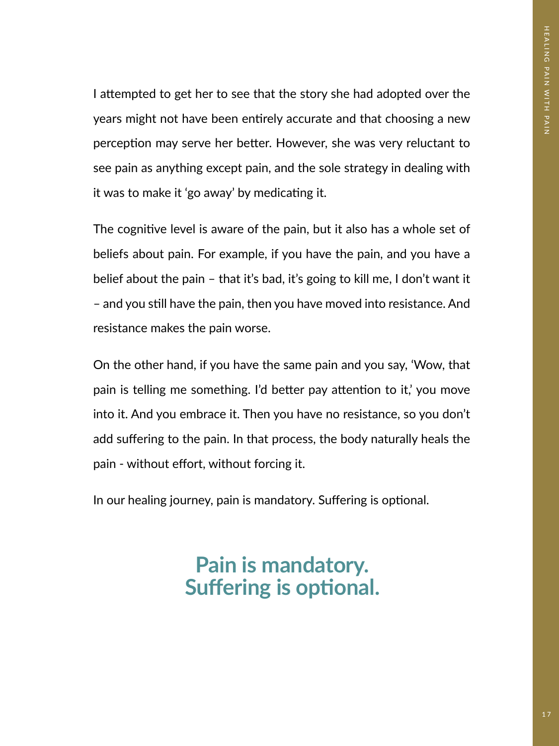I atempted to get her to see that the story she had adopted over the years might not have been entirely accurate and that choosing a new perception may serve her better. However, she was very reluctant to see pain as anything except pain, and the sole strategy in dealing with it was to make it 'go away' by medicating it.

The cognitve level is aware of the pain, but it also has a whole set of beliefs about pain. For example, if you have the pain, and you have a belief about the pain – that it's bad, it's going to kill me, I don't want it – and you still have the pain, then you have moved into resistance. And resistance makes the pain worse.

On the other hand, if you have the same pain and you say, 'Wow, that pain is telling me something. I'd better pay attention to it,' you move into it. And you embrace it. Then you have no resistance, so you don't add suffering to the pain. In that process, the body naturally heals the pain - without efort, without forcing it.

In our healing journey, pain is mandatory. Suffering is optional.

### **Pain is mandatory. Suffering is optional.**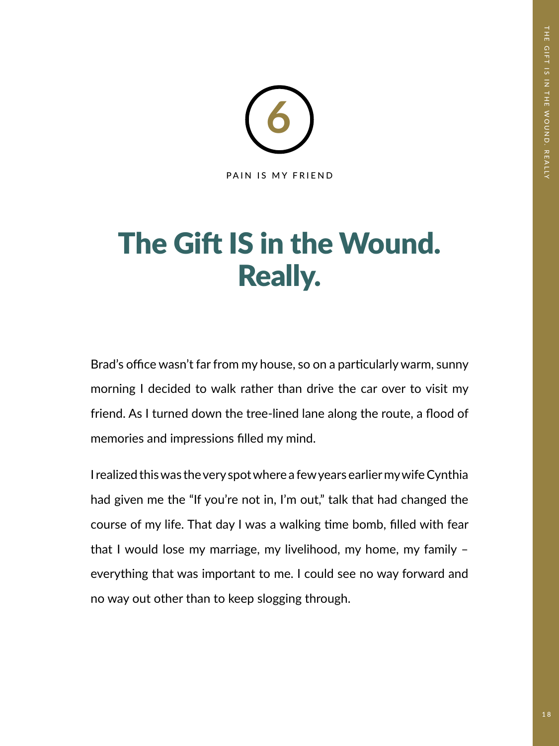

## The Gift IS in the Wound. Really.

Brad's office wasn't far from my house, so on a particularly warm, sunny morning I decided to walk rather than drive the car over to visit my friend. As I turned down the tree-lined lane along the route, a food of memories and impressions flled my mind.

I realized this was the very spot where a few years earlier my wife Cynthia had given me the "If you're not in, I'm out," talk that had changed the course of my life. That day I was a walking time bomb, filled with fear that I would lose my marriage, my livelihood, my home, my family – everything that was important to me. I could see no way forward and no way out other than to keep slogging through.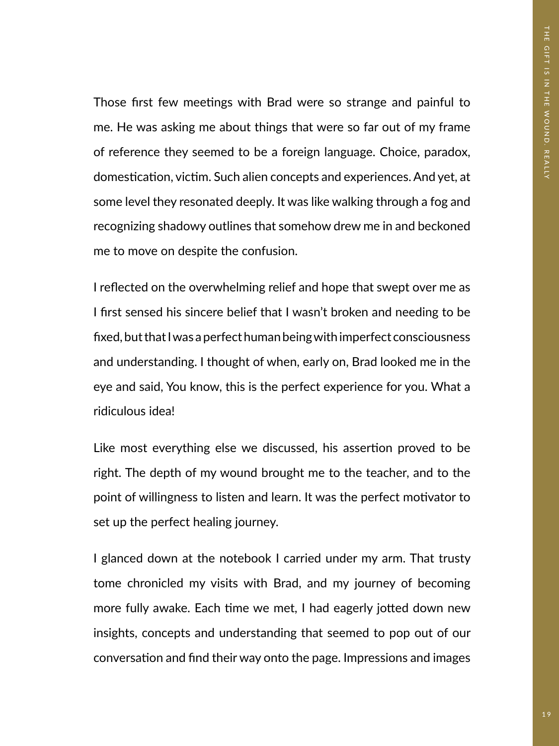Those first few meetings with Brad were so strange and painful to me. He was asking me about things that were so far out of my frame of reference they seemed to be a foreign language. Choice, paradox, domestication, victim. Such alien concepts and experiences. And yet, at some level they resonated deeply. It was like walking through a fog and recognizing shadowy outlines that somehow drew me in and beckoned me to move on despite the confusion.

I refected on the overwhelming relief and hope that swept over me as I frst sensed his sincere belief that I wasn't broken and needing to be fxed, but that I was a perfect human being with imperfect consciousness and understanding. I thought of when, early on, Brad looked me in the eye and said, You know, this is the perfect experience for you. What a ridiculous idea!

Like most everything else we discussed, his assertion proved to be right. The depth of my wound brought me to the teacher, and to the point of willingness to listen and learn. It was the perfect motvator to set up the perfect healing journey.

I glanced down at the notebook I carried under my arm. That trusty tome chronicled my visits with Brad, and my journey of becoming more fully awake. Each time we met, I had eagerly jotted down new insights, concepts and understanding that seemed to pop out of our conversation and find their way onto the page. Impressions and images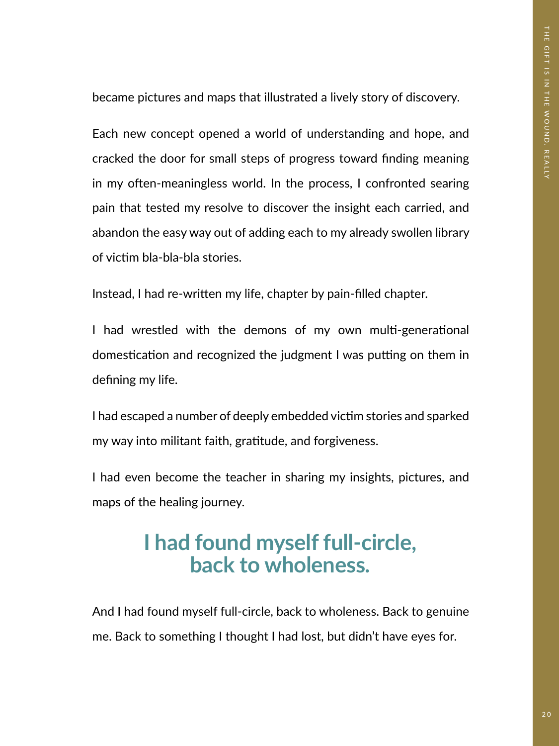became pictures and maps that illustrated a lively story of discovery.

Each new concept opened a world of understanding and hope, and cracked the door for small steps of progress toward fnding meaning in my often-meaningless world. In the process, I confronted searing pain that tested my resolve to discover the insight each carried, and abandon the easy way out of adding each to my already swollen library of victm bla-bla-bla stories.

Instead, I had re-writen my life, chapter by pain-flled chapter.

I had wrestled with the demons of my own multi-generational domestication and recognized the judgment I was putting on them in defning my life.

I had escaped a number of deeply embedded victim stories and sparked my way into militant faith, gratitude, and forgiveness.

I had even become the teacher in sharing my insights, pictures, and maps of the healing journey.

### **I had found myself full-circle, back to wholeness.**

And I had found myself full-circle, back to wholeness. Back to genuine me. Back to something I thought I had lost, but didn't have eyes for.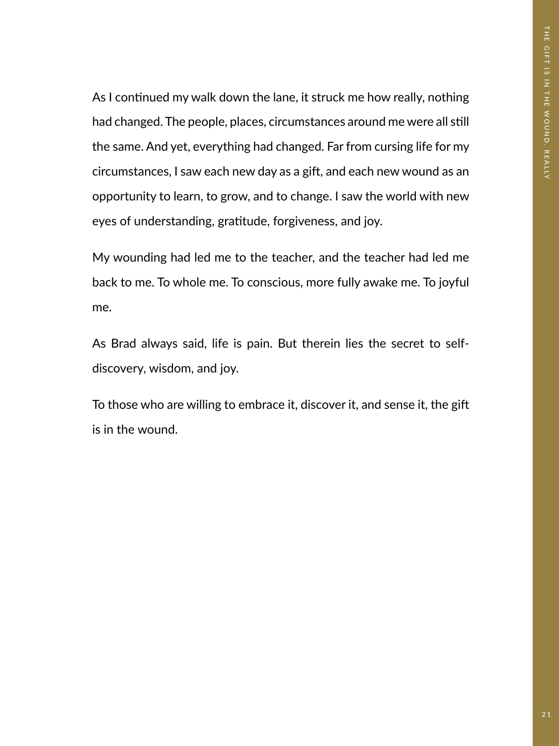As I continued my walk down the lane, it struck me how really, nothing had changed. The people, places, circumstances around me were all still the same. And yet, everything had changed. Far from cursing life for my circumstances, I saw each new day as a gift, and each new wound as an opportunity to learn, to grow, and to change. I saw the world with new eyes of understanding, gratitude, forgiveness, and joy.

My wounding had led me to the teacher, and the teacher had led me back to me. To whole me. To conscious, more fully awake me. To joyful me.

As Brad always said, life is pain. But therein lies the secret to selfdiscovery, wisdom, and joy.

To those who are willing to embrace it, discover it, and sense it, the gif is in the wound.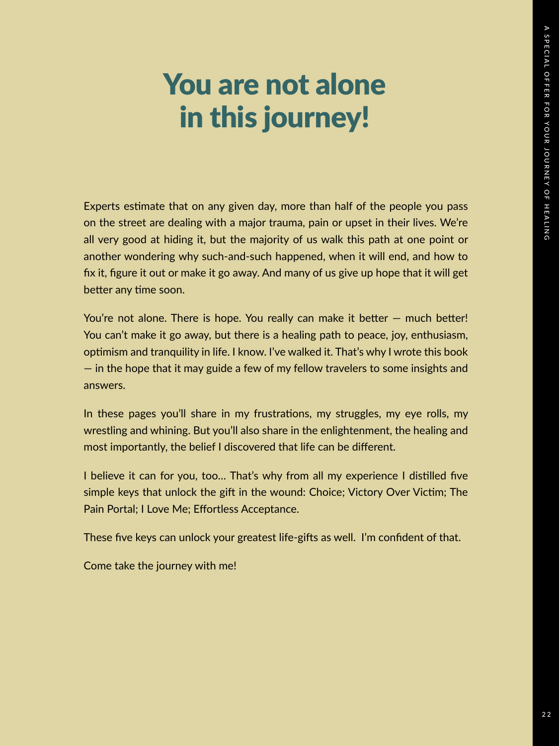## You are not alone in this journey!

Experts estmate that on any given day, more than half of the people you pass on the street are dealing with a major trauma, pain or upset in their lives. We're all very good at hiding it, but the majority of us walk this path at one point or another wondering why such-and-such happened, when it will end, and how to fx it, fgure it out or make it go away. And many of us give up hope that it will get better any time soon.

You're not alone. There is hope. You really can make it better  $-$  much better! You can't make it go away, but there is a healing path to peace, joy, enthusiasm, optmism and tranquility in life. I know. I've walked it. That's why I wrote this book — in the hope that it may guide a few of my fellow travelers to some insights and answers.

In these pages you'll share in my frustrations, my struggles, my eye rolls, my wrestling and whining. But you'll also share in the enlightenment, the healing and most importantly, the belief I discovered that life can be diferent.

I believe it can for you, too... That's why from all my experience I distilled five simple keys that unlock the gift in the wound: Choice; Victory Over Victim; The Pain Portal; I Love Me; Effortless Acceptance.

These five keys can unlock your greatest life-gifts as well. I'm confident of that.

Come take the journey with me!